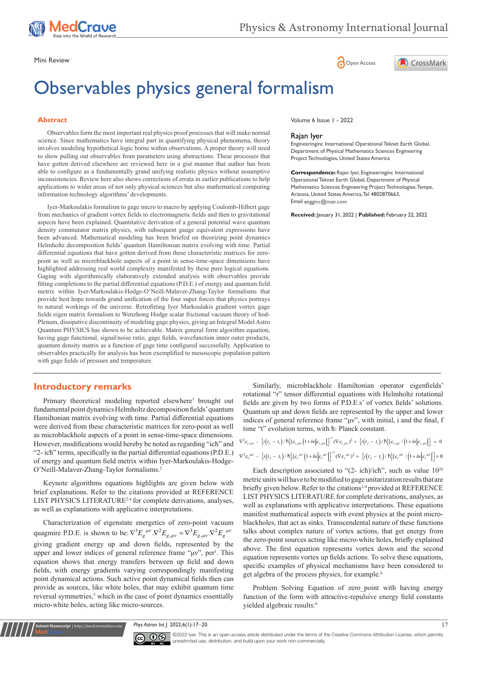





# Observables physics general formalism

#### **Abstract**

Observables form the most important real physics proof processes that will make normal science. Since mathematics have integral part in quantifying physical phenomena, theory involves modeling hypothetical logic borne within observations. A proper theory will need to show pulling out observables from parameters using abstractions. These processes that have gotten derived elsewhere are reviewed here in a gist manner that author has been able to configure as a fundamentally grand unifying realistic physics without assumptive inconsistencies. Review here also shows corrections of errata in earlier publications to help applications to wider areas of not only physical sciences but also mathematical computing information technology algorithms' developments.

Iyer-Markoulakis formalism to gage micro to macro by applying Coulomb-Hilbert gage from mechanics of gradient vortex fields to electromagnetic fields and then to gravitational aspects have been explained. Quantitative derivation of a general potential wave quantum density commutator matrix physics, with subsequent gauge equivalent expressions have been advanced. Mathematical modeling has been briefed on theorizing point dynamics Helmholtz decomposition fields' quantum Hamiltonian matrix evolving with time. Partial differential equations that have gotten derived from these characteristic matrices for zeropoint as well as microblackhole aspects of a point in sense-time-space dimensions have highlighted addressing real world complexity manifested by these pure logical equations. Gaging with algorithmically elaboratively extended analysis with observables provide fitting completions to the partial differential equations (P.D.E.) of energy and quantum field metrix within Iyer-Markoulakis-Hodge-O'Neill-Malaver-Zhang-Taylor formalisms that provide best hope towards grand unification of the four super forces that physics portrays to natural workings of the universe. Retrofitting Iyer Markoulakis gradient vortex gage fields eigen matrix formalism to Wenzhong Hodge scalar frictional vacuum theory of hod-Plenum, dissipative discontinuity of modeling gage physics, giving an Integral Model Astro Quantum PHYSICS has shown to be achievable. Matrix general form algorithm equation, having gage functional, signal/noise ratio, gage fields, wavefunction inner outer products, quantum density matrix as a function of gage time configured successfully. Application to observables practically for analysis has been exemplified to mesoscopic population pattern with gage fields of pressure and temperature.

## **Introductory remarks**

**Krit Manuscript** | http://medcraveonline.c

Primary theoretical modeling reported elsewhere<sup>1</sup> brought out fundamental point dynamics Helmholtz decomposition fields' quantum Hamiltonian matrix evolving with time. Partial differential equations were derived from these characteristic matrices for zero-point as well as microblackhole aspects of a point in sense-time-space dimensions. However, modifications would hereby be noted as regarding "icħ" and "2- icħ" terms, specifically in the partial differential equations (P.D.E.) of energy and quantum field metrix within Iyer-Markoulakis-Hodge-O'Neill-Malaver-Zhang-Taylor formalisms.2

Keynote algorithms equations highlights are given below with brief explanations. Refer to the citations provided at REFERENCE LIST PHYSICS LITERATURE<sup>2-4</sup> for complete derivations, analyses, as well as explanations with applicative interpretations.

Characterization of eigenstate energetics of zero-point vacuum quagmire P.D.E. is shown to be:  $\nabla^3 E_g^{\mu\nu} \cdot \nabla^2 E_{g,\mu\nu} = \nabla^3 E_{g,\mu\nu} \cdot \nabla^2 E_g^{\mu\nu}$ giving gradient energy up and down fields, represented by the upper and lower indices of general reference frame "μν", per<sup>1</sup>. This equation shows that energy transfers between up field and down fields, with energy gradients varying correspondingly manifesting point dynamical actions. Such active point dynamical fields then can provide as sources, like white holes, that may exhibit quantum time reversal symmetries,<sup>5</sup> which in the case of point dynamics essentially micro-white holes, acting like micro-sources.

Volume 6 Issue 1 - 2022

#### Rajan Iyer

Engineeringinc International Operational Teknet Earth Global, Department of Physical Mathematics Sciences Engineering Project Technologies, United States America

**Correspondence:** Rajan Iyer, Engineeringinc International Operational Teknet Earth Global, Department of Physical Mathematics Sciences Engineering Project Technologies, Tempe, Arizona, United States America, Tel 4802870663, Email engginc@msn.com

**Received:** January 31, 2022 | **Published:** February 22, 2022

Similarly, microblackhole Hamiltonian operator eigenfields' rotational "r" tensor differential equations with Helmholtz rotational fields are given by two forms of P.D.E.s' of vortex fields' solutions. Quantum up and down fields are represented by the upper and lower indices of general reference frame "μν", with initial, i and the final, f time "t" evolution terms, with ħ: Planck constant.

$$
\nabla^2 \varepsilon_{r,\mu\nu} - \left\{ i \left( t_f - t_i \right) / \hbar \right\} \left[ \varepsilon_{r,\mu\nu} \left( 1 + \ln \left| \varepsilon_{r,\mu\nu} \right| \right) \right]^{-1} \left( \nabla \varepsilon_{r,\mu\nu} \right)^2 + \left\{ i \left( t_f - t_i \right) / \hbar \right\} \left[ \varepsilon_{r,\mu\nu} / \left( 1 + \ln \left| \varepsilon_{r,\mu\nu} \right| \right) \right] = 0
$$
\n
$$
\nabla^2 \varepsilon_r^{\mu\nu} - \left\{ i \left( t_f - t_i \right) / \hbar \right\} \left[ \varepsilon_r^{\mu\nu} \left( 1 + \ln \left| \varepsilon_r^{\mu\nu} \right| \right) \right]^{-1} \left( \nabla \varepsilon_r^{\mu\nu} \right)^2 + \left\{ i \left( t_f - t_i \right) / \hbar \right\} \left[ \varepsilon_r^{\mu\nu} / \left( 1 + \ln \left| \varepsilon_r^{\mu\nu} \right| \right) \right] = 0
$$

Each description associated to "(2- icħ)/icħ", such as value 1026 metric units will have to be modified to gage unitarization results that are briefly given below. Refer to the citations<sup>2-4</sup> provided at REFERENCE LIST PHYSICS LITERATURE for complete derivations, analyses, as well as explanations with applicative interpretations. These equations manifest mathematical aspects with event physics at the point microblackholes, that act as sinks. Transcendental nature of these functions talks about complex nature of vortex actions, that get energy from the zero-point sources acting like micro-white holes, briefly explained above. The first equation represents vortex down and the second equation represents vortex up fields actions. To solve these equations, specific examples of physical mechanisms have been considered to get algebra of the process physics, for example.<sup>6</sup>

Problem Solving Equation of zero point with having energy function of the form with attractive-repulsive energy field constants yielded algebraic results:<sup>6</sup>

*Phys Astron Int J.* 2022;6(1):17‒20. 17



©2022 Iyer. This is an open access article distributed under the terms of the [Creative Commons Attribution License,](https://creativecommons.org/licenses/by-nc/4.0/) which permits unrestricted use, distribution, and build upon your work non-commercially.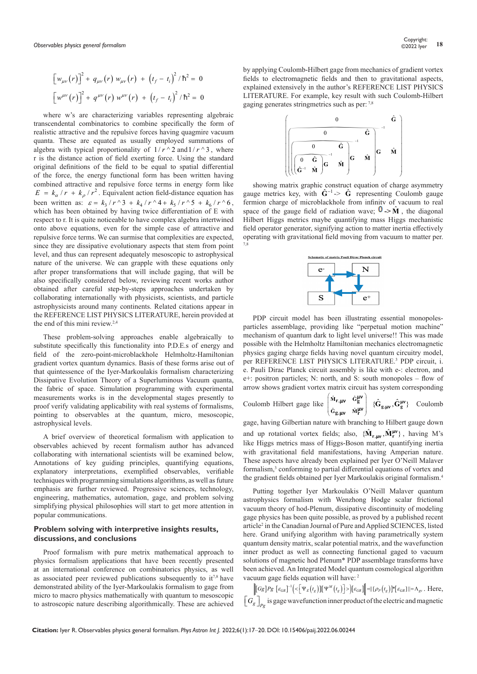$$
\[w_{\mu\nu}(r)\]^{2} + q_{\mu\nu}(r) w_{\mu\nu}(r) + (t_{f} - t_{i})^{2} / \hbar^{2} = 0
$$
  

$$
\[w^{\mu\nu}(r)\]^{2} + q^{\mu\nu}(r) w^{\mu\nu}(r) + (t_{f} - t_{i})^{2} / \hbar^{2} = 0
$$

where w's are characterizing variables representing algebraic transcendental combinatorics to combine specifically the form of realistic attractive and the repulsive forces having quagmire vacuum quanta. These are equated as usually employed summations of algebra with typical proportionality of  $1/r \sim 2$  and  $1/r \sim 3$ , where r is the distance action of field exerting force. Using the standard original definitions of the field to be equal to spatial differential of the force, the energy functional form has been written having combined attractive and repulsive force terms in energy form like  $E = k_{\alpha}/r + k_{\rho}/r^2$ . Equivalent action field-distance equation has been written as:  $\varepsilon = k_3 / r \cdot 3 + k_4 / r \cdot 4 + k_5 / r \cdot 5 + k_6 / r \cdot 6$ , which has been obtained by having twice differentiation of E with respect to r. It is quite noticeable to have complex algebra intertwined onto above equations, even for the simple case of attractive and repulsive force terms. We can surmise that complexities are expected, since they are dissipative evolutionary aspects that stem from point level, and thus can represent adequately mesoscopic to astrophysical nature of the universe. We can grapple with these equations only after proper transformations that will include gaging, that will be also specifically considered below, reviewing recent works author obtained after careful step-by-steps approaches undertaken by collaborating internationally with physicists, scientists, and particle astrophysicists around many continents. Related citations appear in the REFERENCE LIST PHYSICS LITERATURE, herein provided at the end of this mini review.2,4

These problem-solving approaches enable algebraically to substitute specifically this functionality into P.D.E.s of energy and field of the zero-point-microblackhole Helmholtz-Hamiltonian gradient vortex quantum dynamics. Basis of these forms arise out of that quintessence of the Iyer-Markoulakis formalism characterizing Dissipative Evolution Theory of a Superluminous Vacuum quanta, the fabric of space. Simulation programming with experimental measurements works is in the developmental stages presently to proof verify validating applicability with real systems of formalisms, pointing to observables at the quantum, micro, mesoscopic, astrophysical levels.

A brief overview of theoretical formalism with application to observables achieved by recent formalism author has advanced collaborating with international scientists will be examined below, Annotations of key guiding principles, quantifying equations, explanatory interpretations, exemplified observables, verifiable techniques with programming simulations algorithms, as well as future emphasis are further reviewed. Progressive sciences, technology, engineering, mathematics, automation, gage, and problem solving simplifying physical philosophies will start to get more attention in popular communications.

## **Problem solving with interpretive insights results, discussions, and conclusions**

Proof formalism with pure metrix mathematical approach to physics formalism applications that have been recently presented at an international conference on combinatorics physics, as well as associated peer reviewed publications subsequently to it7,8 have demonstrated ability of the Iyer-Markoulakis formalism to gage from micro to macro physics mathematically with quantum to mesoscopic to astroscopic nature describing algorithmically. These are achieved by applying Coulomb-Hilbert gage from mechanics of gradient vortex fields to electromagnetic fields and then to gravitational aspects, explained extensively in the author's REFERENCE LIST PHYSICS LITERATURE. For example, key result with such Coulomb-Hilbert gaging generates stringmetrics such as per: 7,8



showing matrix graphic construct equation of charge asymmetry gauge metrics key, with  $\hat{G}^{-1} > \hat{G}$  representing Coulomb gauge fermion charge of microblackhole from infinity of vacuum to real space of the gauge field of radiation wave;  $\mathbf{0} \rightarrow \hat{\mathbf{M}}$ , the diagonal Hilbert Higgs metrics maybe quantifying mass Higgs mechanistic field operator generator, signifying action to matter inertia effectively operating with gravitational field moving from vacuum to matter per. 7,8



PDP circuit model has been illustrating essential monopolesparticles assemblage, providing like "perpetual motion machine" mechanism of quantum dark to light level universe!! This was made possible with the Helmholtz Hamiltonian mechanics electromagnetic physics gaging charge fields having novel quantum circuitry model, per REFERENCE LIST PHYSICS LITERATURE.<sup>3</sup> PDP circuit, i. e. Pauli Dirac Planck circuit assembly is like with e-: electron, and e+: positron particles; N: north, and S: south monopoles – flow of arrow shows gradient vortex matrix circuit has system corresponding

Coulomb Hilbert gage like 
$$
\begin{pmatrix} \hat{M}_{r,\mu\nu} & \hat{G}_g^{\mu\nu} \\ \hat{G}_{g,\mu\nu} & \hat{M}_r^{\mu\nu} \end{pmatrix}
$$
 { $\hat{G}_{g,\mu\nu}, \hat{G}_g^{\mu\nu}$ } Coulomb

gage, having Gilbertian nature with branching to Hilbert gauge down and up rotational vortex fields; also,  $\{\hat{M}_{r,\mu\nu}, \hat{M}_r^{\mu\nu}\}$ , having M's like Higgs metrics mass of Higgs-Boson matter, quantifying inertia with gravitational field manifestations, having Amperian nature. These aspects have already been explained per Iyer O'Neill Malaver formalism,<sup>3</sup> conforming to partial differential equations of vortex and the gradient fields obtained per Iyer Markoulakis original formalism.4

Putting together Iyer Markoulakis O'Neill Malaver quantum astrophysics formalism with Wenzhong Hodge scalar frictional vacuum theory of hod-Plenum, dissipative discontinuity of modeling gage physics has been quite possible, as proved by a published recent article<sup>2</sup> in the Canadian Journal of Pure and Applied SCIENCES, listed here. Grand unifying algorithm with having parametrically system quantum density matrix, scalar potential matrix, and the wavefunction inner product as well as connecting functional gaged to vacuum solutions of magnetic hod Plenum\* PDP assemblage transforms have been achieved. An Integrated Model quantum cosmological algorithm vacuum gage fields equation will have: 2

 $\left\| \left[ G g \right] P g \; \left[ \varepsilon_{GR} \right]^{-1} \negthinspace \left( \negthinspace < \negthinspace \left[ \Psi_E \big( t_g \big) \right] \negthinspace \left[ \Psi^M \big( t_g \big) \right] \negthinspace > \negthinspace \right) \negthinspace \left[ \varepsilon_{GR} \right] \negthinspace \right\| \negthinspace = \negthinspace \left[ \rho_P \big( t_g \big) \negthinspace \right] \negthinspace \ast \negthinspace \left[ \varepsilon_{GR} \right] \negthinspace \left\| \negthinspace = \negthinspace \Lambda_{gv} \right. \, . \, \, \text{Here,}$  $\left[\left.G_{g}\right]\right._{Pg}$  is gage wavefunction inner product of the electric and magnetic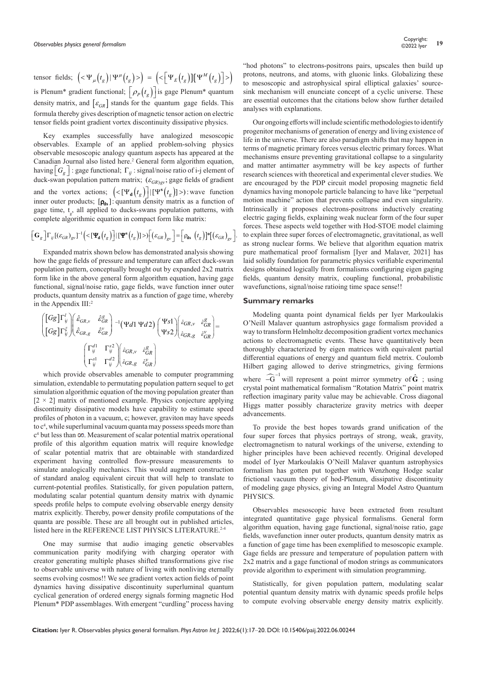tensor fields;  $\left( \langle \Psi_{\mu}(t_{g}) | \Psi^{\mu}(t_{g}) \rangle \right) = \left( \langle \Psi_{E}(t_{g})] \Psi^{\mu}(t_{g}) \right] \rangle$ is Plenum<sup>\*</sup> gradient functional;  $\left[\rho_p(t_g)\right]$  is gage Plenum<sup>\*</sup> quantum density matrix, and  $\varepsilon_{GR}$  stands for the quantum gage fields. This formula thereby gives description of magnetic tensor action on electric tensor fields point gradient vortex discontinuity dissipative physics.

Key examples successfully have analogized mesoscopic observables. Example of an applied problem-solving physics observable mesoscopic analogy quantum aspects has appeared at the Canadian Journal also listed here.<sup>2</sup> General form algorithm equation, having  $G_g$  : gage functional;  $\Gamma_{ij}$  : signal/noise ratio of i-j element of duck-swan population pattern matrix;  $(\varepsilon_{GR)gy}$ ; gage fields of gradient and the vortex actions;  $\left( \langle \Psi_{\mathbf{d}}(t_g) \rangle | [ \Psi^{\mathbf{s}}(t_g)] \rangle \right)$ : wave function inner outer products;  $[\rho_{ds}]$ : quantum density matrix as a function of gage time,  $t_g$ , all applied to ducks-swans population patterns, with complete algorithmic equation in compact form like matrix:

$$
\left[\mathbf{G}_g\right]\Gamma_{ij}\left[\left(\varepsilon_{GR}\right)_{\text{gv}}\right]^{-1}\left(\langle\left[\mathbf{\Psi}_\mathbf{d}\left(t_g\right)\right]\right|\left[\mathbf{\Psi}^\mathbf{s}\left(t_g\right)\right]\rangle\right)\left[\left(\varepsilon_{GR}\right)_{\text{gv}}\right] = \left[\rho_\mathbf{ds}\left(t_g\right)\right]\mathbf{f}\left(\left(\varepsilon_{GR}\right)_{\text{gv}}\right].
$$

Expanded matrix shown below has demonstrated analysis showing how the gage fields of pressure and temperature can affect duck-swan population pattern, conceptually brought out by expanded 2x2 matrix form like in the above general form algorithm equation, having gage functional, signal/noise ratio, gage fields, wave function inner outer products, quantum density matrix as a function of gage time, whereby in the Appendix III:<sup>2</sup>

$$
\begin{aligned}\n&\left[\begin{bmatrix} Gg \end{bmatrix} \Gamma_{ij}^l \right] \left(\hat{\varepsilon}_{GR,v} - \hat{\varepsilon}_{GR}^g \right) - 1 (\Psi d1 \Psi d2) \begin{pmatrix} \Psi s1 \\ \Psi s2 \end{pmatrix} \left(\hat{\varepsilon}_{GR,v} - \hat{\varepsilon}_{GR}^g \right) \\
&\left[\begin{bmatrix} Gg \end{bmatrix} \Gamma_{ij}^{\varepsilon^l} \right] \left(\hat{\varepsilon}_{GR,g} - \hat{\varepsilon}_{GR}^v \right) \\
&\left(\begin{bmatrix} \Gamma_{ij}^{d1} & \Gamma_{ij}^{s2} \\ \Gamma_{ij}^{s1} & \Gamma_{ij}^{d2} \end{bmatrix} \left(\hat{\varepsilon}_{GR,g} - \hat{\varepsilon}_{GR}^g \right) \\
&\left(\begin{bmatrix} \Gamma_{ij}^{s1} & \Gamma_{ij}^{d2} \\ \hat{\varepsilon}_{GR,g} & \hat{\varepsilon}_{GR}^v \end{bmatrix} \right)\n\end{aligned}
$$

which provide observables amenable to computer programming simulation, extendable to permutating population pattern sequel to get simulation algorithmic equation of the moving population greater than  $[2 \times 2]$  matrix of mentioned example. Physics conjecture applying discontinuity dissipative models have capability to estimate speed profiles of photon in a vacuum, c; however, graviton may have speeds to  $c<sup>4</sup>$ , while superluminal vacuum quanta may possess speeds more than c<sup>4</sup> but less than  $\infty$ . Measurement of scalar potential matrix operational profile of this algorithm equation matrix will require knowledge of scalar potential matrix that are obtainable with standardized experiment having controlled flow-pressure measurements to simulate analogically mechanics. This would augment construction of standard analog equivalent circuit that will help to translate to current-potential profiles. Statistically, for given population pattern, modulating scalar potential quantum density matrix with dynamic speeds profile helps to compute evolving observable energy density matrix explicitly. Thereby, power density profile computations of the quanta are possible. These are all brought out in published articles, listed here in the REFERENCE LIST PHYSICS LITERATURE.<sup>2-4</sup>

One may surmise that audio imaging genetic observables communication parity modifying with charging operator with creator generating multiple phases shifted transformations give rise to observable universe with nature of living with nonliving eternally seems evolving cosmos!! We see gradient vortex action fields of point dynamics having dissipative discontinuity superluminal quantum cyclical generation of ordered energy signals forming magnetic Hod Plenum\* PDP assemblages. With emergent "curdling" process having "hod photons" to electrons-positrons pairs, upscales then build up protons, neutrons, and atoms, with gluonic links. Globalizing these to mesoscopic and astrophysical spiral elliptical galaxies' sourcesink mechanism will enunciate concept of a cyclic universe. These are essential outcomes that the citations below show further detailed analyses with explanations.

Our ongoing efforts will include scientific methodologies to identify progenitor mechanisms of generation of energy and living existence of life in the universe. There are also paradigm shifts that may happen in terms of magnetic primary forces versus electric primary forces. What mechanisms ensure preventing gravitational collapse to a singularity and matter antimatter asymmetry will be key aspects of further research sciences with theoretical and experimental clever studies. We are encouraged by the PDP circuit model proposing magnetic field dynamics having monopole particle balancing to have like "perpetual motion machine" action that prevents collapse and even singularity. Intrinsically it proposes electrons-positrons inductively creating electric gaging fields, explaining weak nuclear form of the four super forces. These aspects weld together with Hod-STOE model claiming to explain three super forces of electromagnetic, gravitational, as well as strong nuclear forms. We believe that algorithm equation matrix pure mathematical proof formalism [Iyer and Malaver, 2021] has laid solidly foundation for parametric physics verifiable experimental designs obtained logically from formalisms configuring eigen gaging fields, quantum density matrix, coupling functional, probabilistic wavefunctions, signal/noise ratioing time space sense!!

### **Summary remarks**

Modeling quanta point dynamical fields per Iyer Markoulakis O'Neill Malaver quantum astrophysics gage formalism provided a way to transform Helmholtz decomposition gradient vortex mechanics actions to electromagnetic events. These have quantitatively been thoroughly characterized by eigen matrices with equivalent partial differential equations of energy and quantum field metrix. Coulomb Hilbert gaging allowed to derive stringmetrics, giving fermions where  $-\widehat{G}^{-1}$  will represent a point mirror symmetry of  $\widehat{G}$ ; using crystal point mathematical formalism "Rotation Matrix" point matrix reflection imaginary parity value may be achievable. Cross diagonal Higgs matter possibly characterize gravity metrics with deeper advancements.

To provide the best hopes towards grand unification of the four super forces that physics portrays of strong, weak, gravity, electromagnetism to natural workings of the universe, extending to higher principles have been achieved recently. Original developed model of Iyer Markoulakis O'Neill Malaver quantum astrophysics formalism has gotten put together with Wenzhong Hodge scalar frictional vacuum theory of hod-Plenum, dissipative discontinuity of modeling gage physics, giving an Integral Model Astro Quantum PHYSICS.

Observables mesoscopic have been extracted from resultant integrated quantitative gage physical formalisms. General form algorithm equation, having gage functional, signal/noise ratio, gage fields, wavefunction inner outer products, quantum density matrix as a function of gage time has been exemplified to mesoscopic example. Gage fields are pressure and temperature of population pattern with 2x2 matrix and a gage functional of modon strings as communicators provide algorithm to experiment with simulation programming.

Statistically, for given population pattern, modulating scalar potential quantum density matrix with dynamic speeds profile helps to compute evolving observable energy density matrix explicitly.